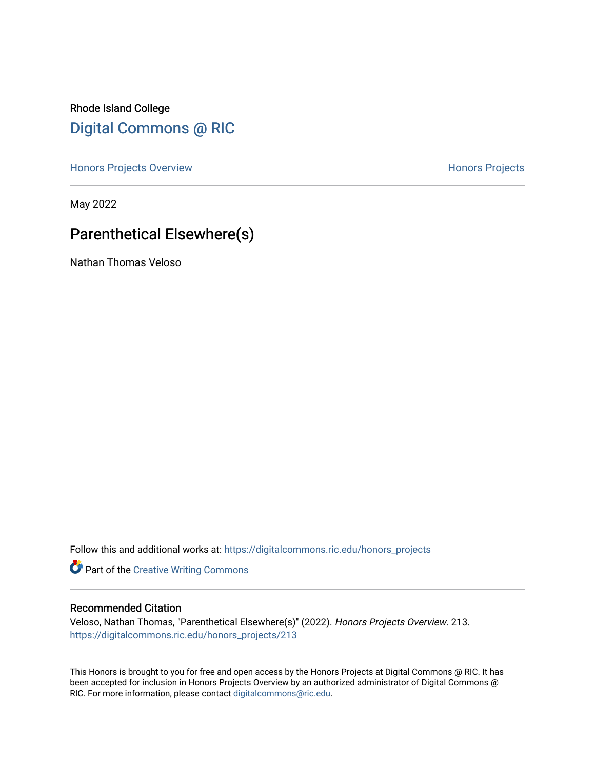Rhode Island College [Digital Commons @ RIC](https://digitalcommons.ric.edu/) 

[Honors Projects Overview](https://digitalcommons.ric.edu/honors_projects) **Honors Projects** 

May 2022

# Parenthetical Elsewhere(s)

Nathan Thomas Veloso

Follow this and additional works at: [https://digitalcommons.ric.edu/honors\\_projects](https://digitalcommons.ric.edu/honors_projects?utm_source=digitalcommons.ric.edu%2Fhonors_projects%2F213&utm_medium=PDF&utm_campaign=PDFCoverPages) 

Part of the [Creative Writing Commons](https://network.bepress.com/hgg/discipline/574?utm_source=digitalcommons.ric.edu%2Fhonors_projects%2F213&utm_medium=PDF&utm_campaign=PDFCoverPages) 

#### Recommended Citation

Veloso, Nathan Thomas, "Parenthetical Elsewhere(s)" (2022). Honors Projects Overview. 213. [https://digitalcommons.ric.edu/honors\\_projects/213](https://digitalcommons.ric.edu/honors_projects/213?utm_source=digitalcommons.ric.edu%2Fhonors_projects%2F213&utm_medium=PDF&utm_campaign=PDFCoverPages) 

This Honors is brought to you for free and open access by the Honors Projects at Digital Commons @ RIC. It has been accepted for inclusion in Honors Projects Overview by an authorized administrator of Digital Commons @ RIC. For more information, please contact [digitalcommons@ric.edu](mailto:digitalcommons@ric.edu).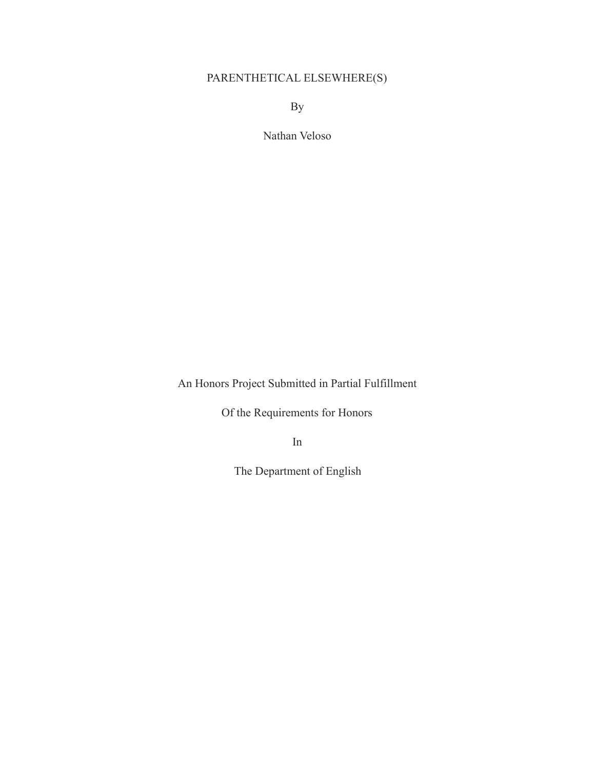# PARENTHETICAL ELSEWHERE(S)

By

Nathan Veloso

An Honors Project Submitted in Partial Fulfillment

Of the Requirements for Honors

In

The Department of English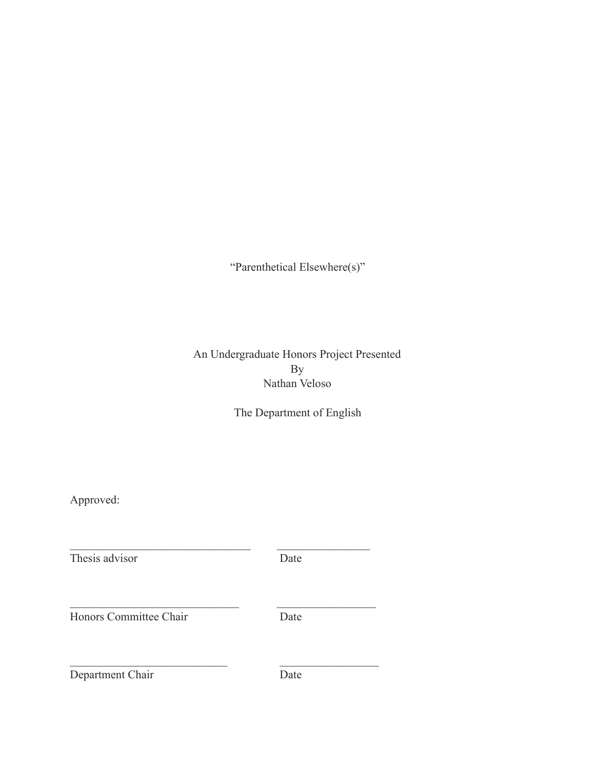"Parenthetical Elsewhere(s)"

# An Undergraduate Honors Project Presented By Nathan Veloso

The Department of English

Approved:

Thesis advisor Date  $\mathcal{L}_\text{max}$  , and the set of the set of the set of the set of the set of the set of the set of the set of the set of the set of the set of the set of the set of the set of the set of the set of the set of the set of the Honors Committee Chair Date

 $\mathcal{L}_\text{max}$  , and the set of the set of the set of the set of the set of the set of the set of the set of the set of the set of the set of the set of the set of the set of the set of the set of the set of the set of the

 $\mathcal{L}_\text{max}$  , and the set of the set of the set of the set of the set of the set of the set of the set of the set of the set of the set of the set of the set of the set of the set of the set of the set of the set of the

Department Chair Date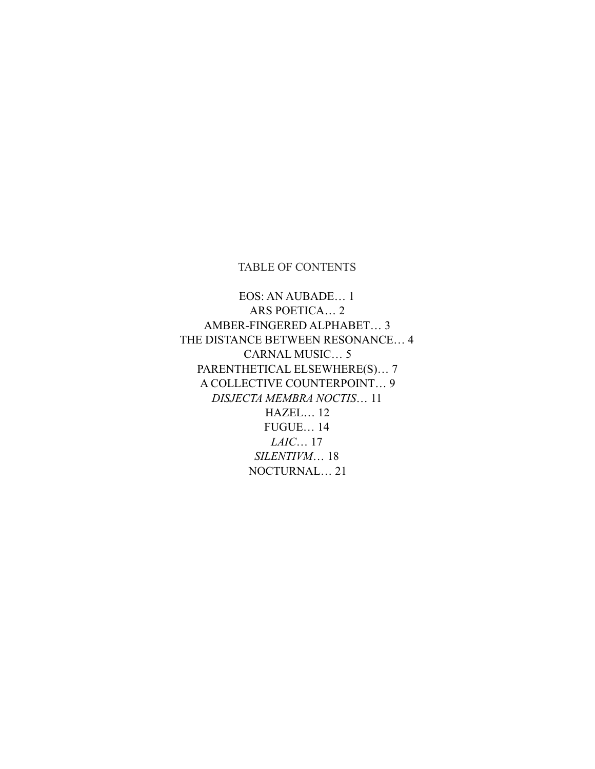## TABLE OF CONTENTS

EOS: AN AUBADE… 1 ARS POETICA… 2 AMBER-FINGERED ALPHABET… 3 THE DISTANCE BETWEEN RESONANCE… 4 CARNAL MUSIC… 5 PARENTHETICAL ELSEWHERE(S)… 7 A COLLECTIVE COUNTERPOINT… 9 *DISJECTA MEMBRA NOCTIS*… 11 HAZEL… 12 FUGUE… 14 *LAIC*… 17 *SILENTIVM*… 18 NOCTURNAL… 21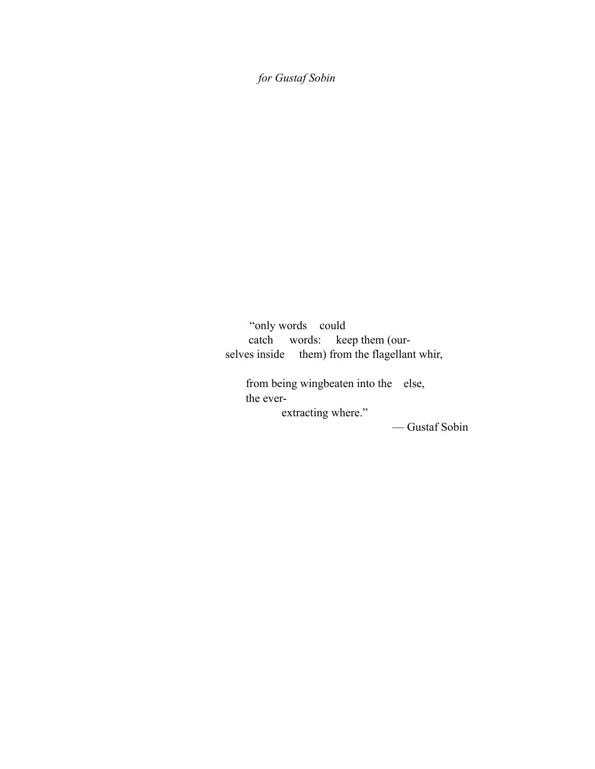*for Gustaf Sobin*

"only words could catch words: keep them (our selves inside them) from the flagellant whir,

from being wingbeaten into the else, the ever extracting where."

— Gustaf Sobin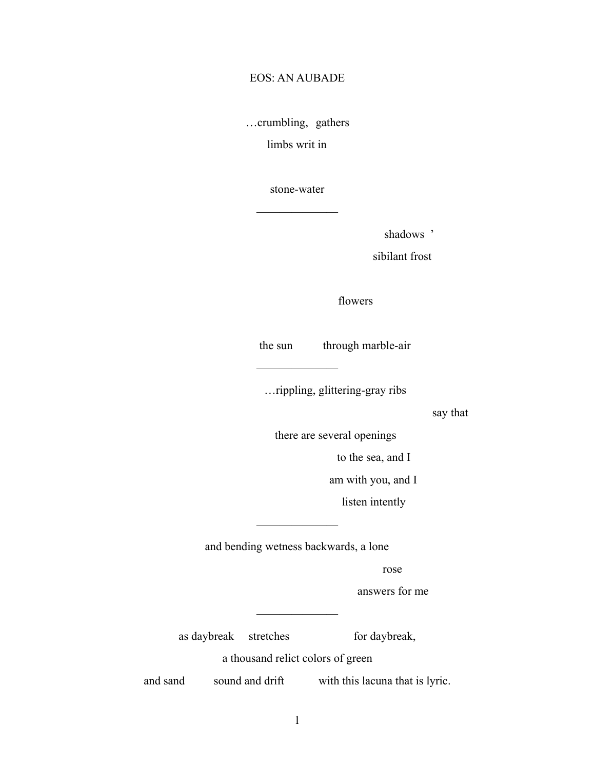## EOS: AN AUBADE

…crumbling, gathers

limbs writ in

stone-water

———————

shadows '

sibilant frost

flowers

the sun through marble-air

———————

…rippling, glittering-gray ribs

say that

there are several openings

to the sea, and I

am with you, and I

listen intently

and bending wetness backwards, a lone

 $\overline{\phantom{a}}$ 

rose

answers for me

as daybreak stretches for daybreak,

a thousand relict colors of green

———————

and sand sound and drift with this lacuna that is lyric.

1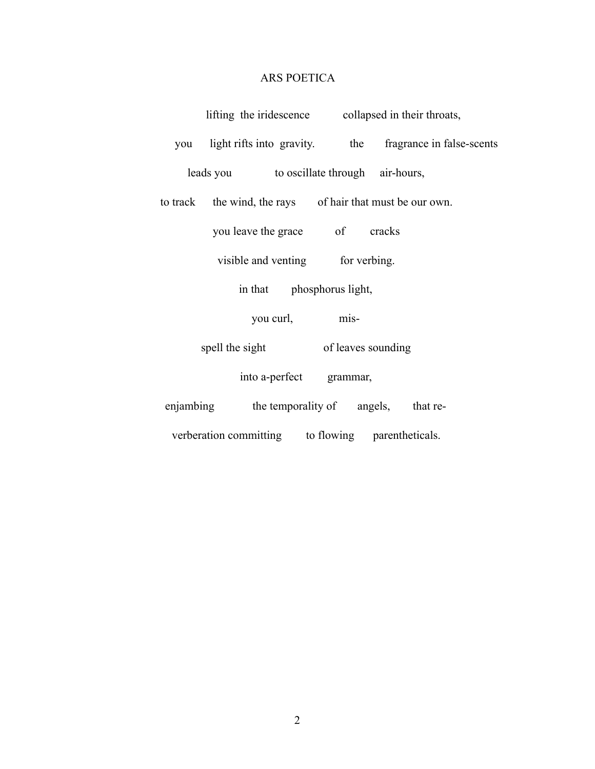#### ARS POETICA

lifting the iridescence collapsed in their throats,

you light rifts into gravity. the fragrance in false-scents leads you to oscillate through air-hours,

to track the wind, the rays of hair that must be our own.

you leave the grace of cracks

visible and venting for verbing.

in that phosphorus light,

you curl, mis-

spell the sight of leaves sounding

into a-perfect grammar,

enjambing the temporality of angels, that reverberation committing to flowing parentheticals.

2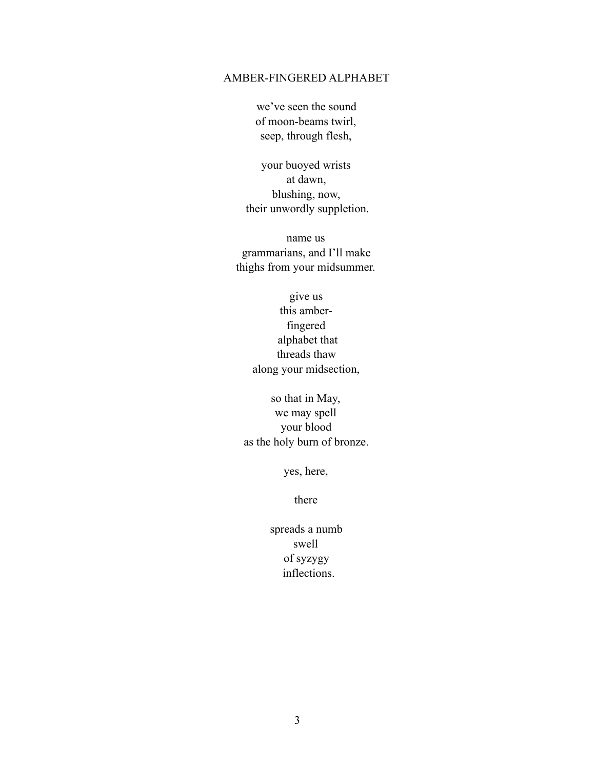#### AMBER-FINGERED ALPHABET

we've seen the sound of moon-beams twirl, seep, through flesh,

your buoyed wrists at dawn, blushing, now, their unwordly suppletion.

name us grammarians, and I'll make thighs from your midsummer.

> give us this amberfingered alphabet that threads thaw along your midsection,

so that in May, we may spell your blood as the holy burn of bronze.

yes, here,

there

spreads a numb swell of syzygy inflections.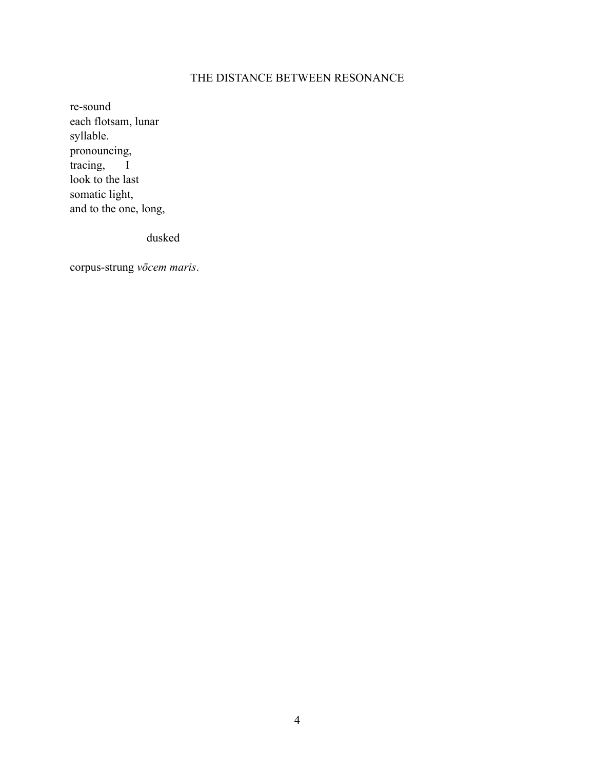# THE DISTANCE BETWEEN RESONANCE

re-sound each flotsam, lunar syllable. pronouncing, tracing, I look to the last somatic light, and to the one, long,

dusked

corpus-strung *vōcem maris*.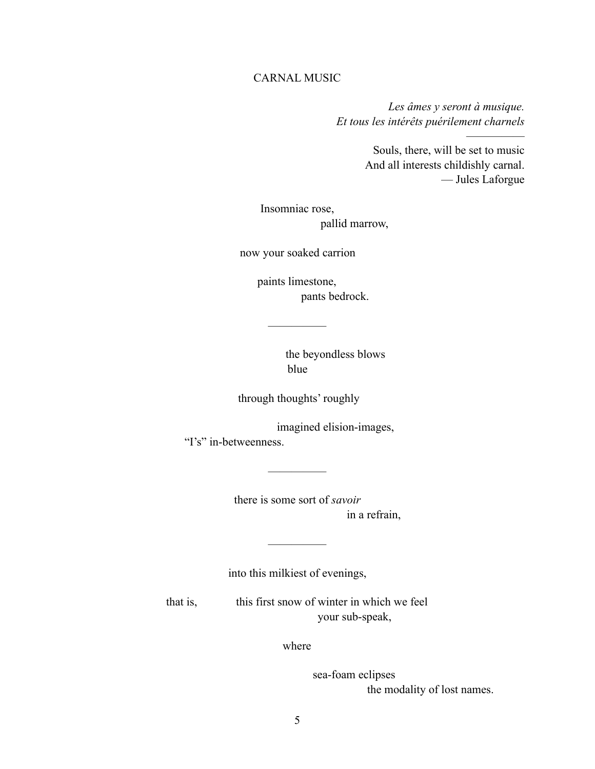## CARNAL MUSIC

*Les âmes y seront à musique. Et tous les intérêts puérilement charnels*

> Souls, there, will be set to music And all interests childishly carnal. — Jules Laforgue

—————

Insomniac rose, pallid marrow,

now your soaked carrion

—————

paints limestone, pants bedrock.

> the beyondless blows blue

through thoughts' roughly

imagined elision-images, "I's" in-betweenness.

—————

there is some sort of *savoir* in a refrain,

into this milkiest of evenings,

—————

that is, this first snow of winter in which we feel your sub-speak,

where

sea-foam eclipses the modality of lost names.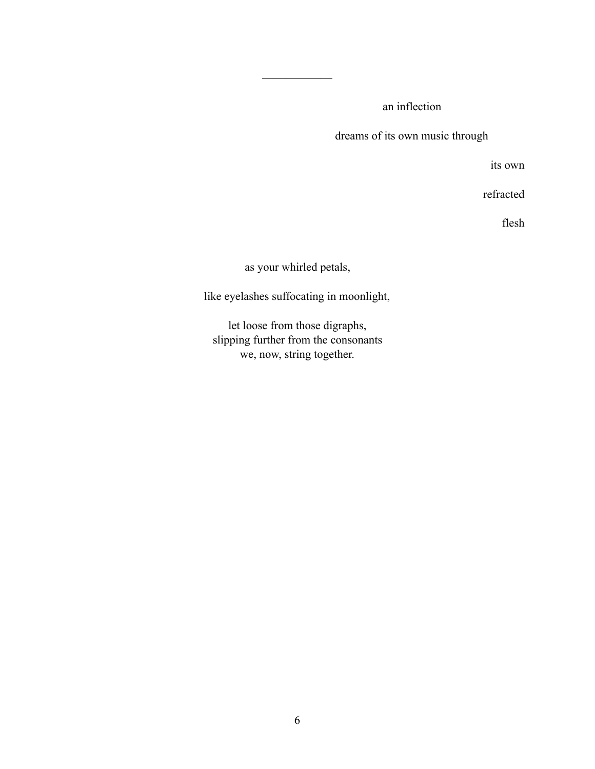an inflection

dreams of its own music through

its own

refracted

flesh

as your whirled petals,

——————

like eyelashes suffocating in moonlight,

let loose from those digraphs, slipping further from the consonants we, now, string together.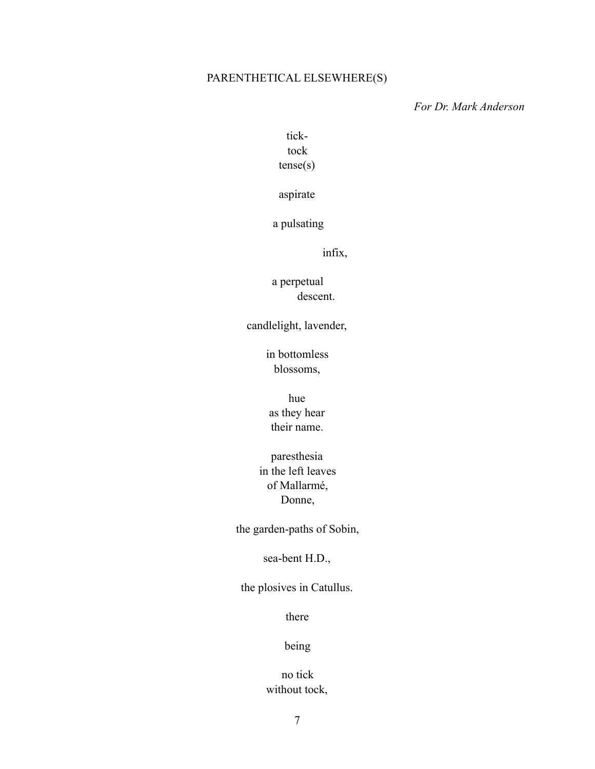## PARENTHETICAL ELSEWHERE(S)

*For Dr. Mark Anderson*

# ticktock tense(s)

aspirate

a pulsating

infix,

a perpetual descent.

candlelight, lavender,

in bottomless blossoms,

hue as they hear their name.

paresthesia in the left leaves of Mallarmé, Donne,

the garden-paths of Sobin,

sea-bent H.D.,

the plosives in Catullus.

there

## being

# no tick without tock,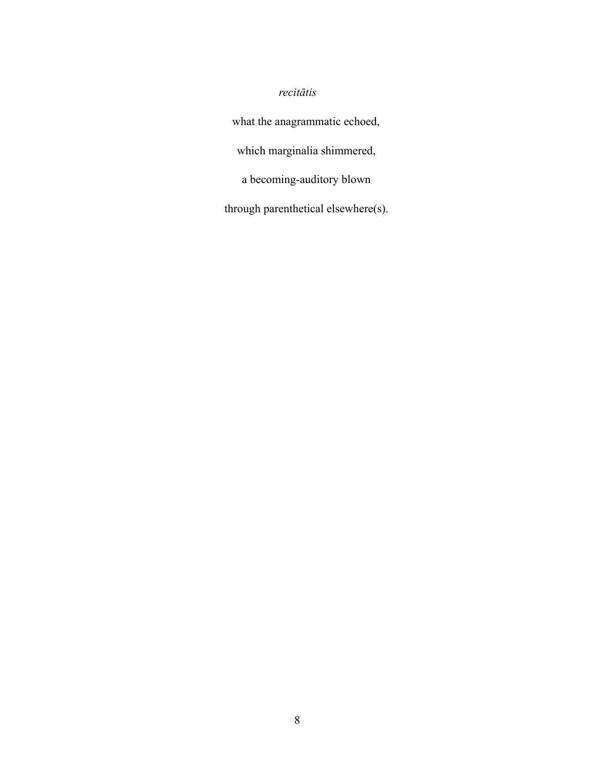# *recitātis*

what the anagrammatic echoed, which marginalia shimmered, a becoming-auditory blown through parenthetical elsewhere(s).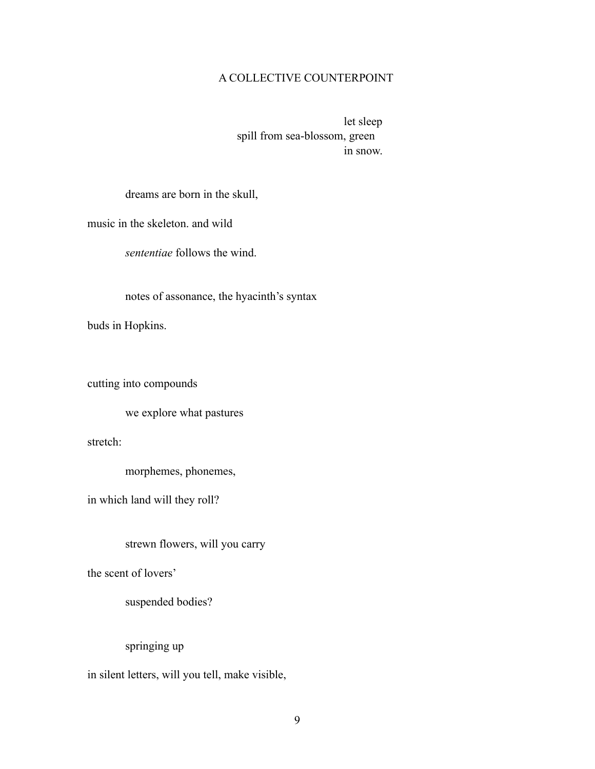## A COLLECTIVE COUNTERPOINT

let sleep spill from sea-blossom, green in snow.

dreams are born in the skull,

music in the skeleton. and wild

*sententiae* follows the wind.

notes of assonance, the hyacinth's syntax

buds in Hopkins.

cutting into compounds

we explore what pastures

stretch:

morphemes, phonemes,

in which land will they roll?

strewn flowers, will you carry

the scent of lovers'

suspended bodies?

springing up

in silent letters, will you tell, make visible,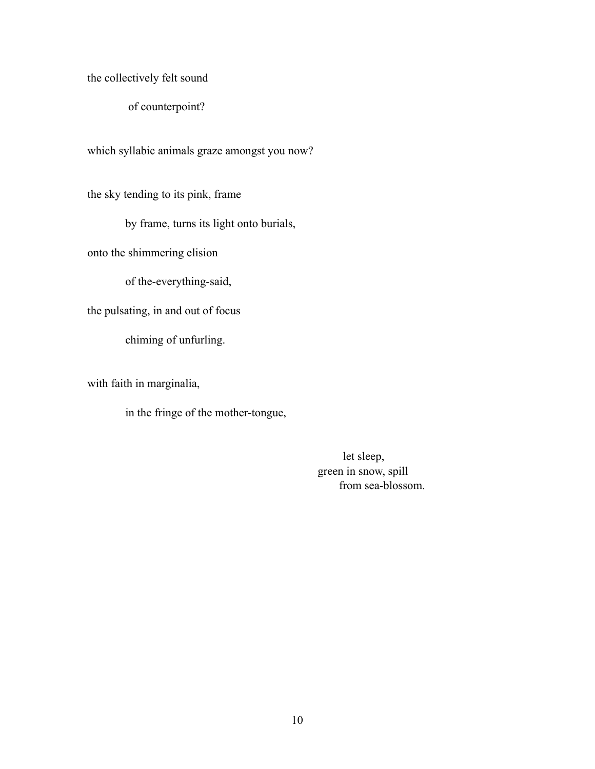the collectively felt sound

of counterpoint?

which syllabic animals graze amongst you now?

the sky tending to its pink, frame

by frame, turns its light onto burials,

onto the shimmering elision

of the-everything-said,

the pulsating, in and out of focus

chiming of unfurling.

with faith in marginalia,

in the fringe of the mother-tongue,

let sleep, green in snow, spill from sea-blossom.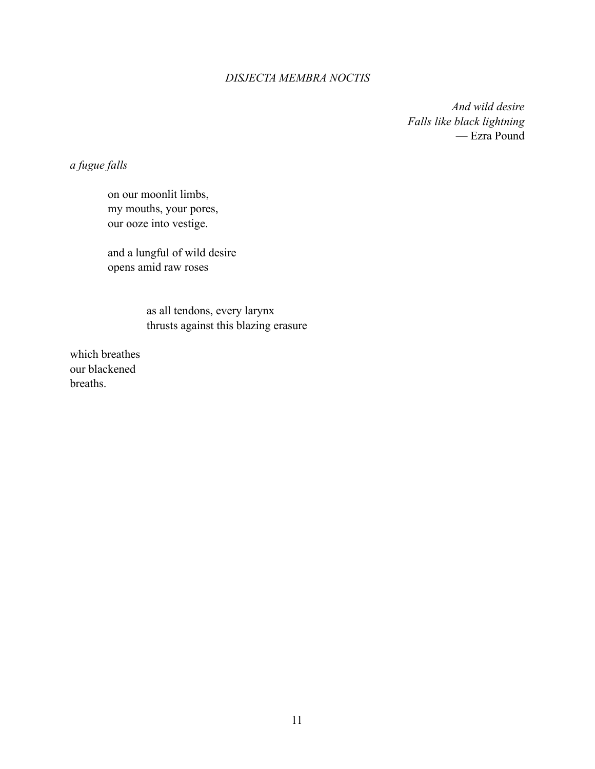#### *DISJECTA MEMBRA NOCTIS*

*And wild desire Falls like black lightning* — Ezra Pound

*a fugue falls*

on our moonlit limbs, my mouths, your pores, our ooze into vestige.

and a lungful of wild desire opens amid raw roses

> as all tendons, every larynx thrusts against this blazing erasure

which breathes our blackened breaths.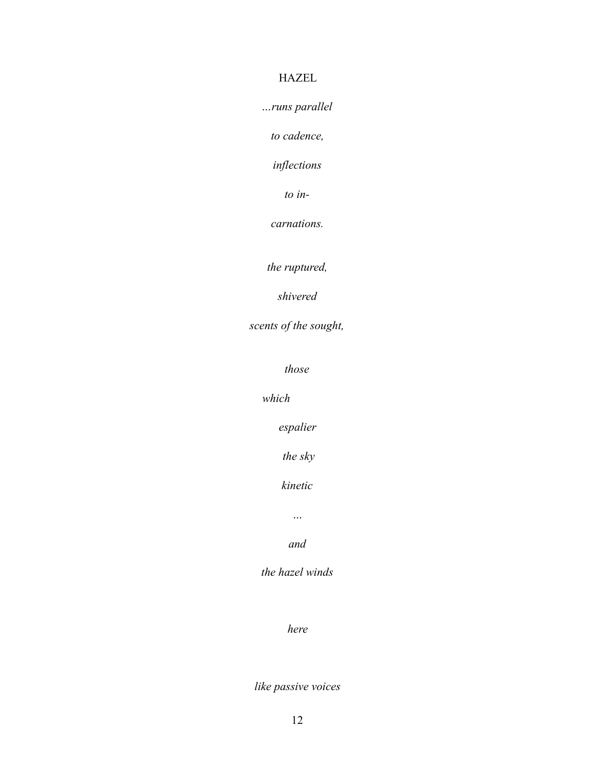# HAZEL

*…runs parallel* 

*to cadence,* 

*inflections* 

*to in-*

*carnations.*

*the ruptured,*

*shivered*

*scents of the sought,*

*those* 

*which*

*espalier*

 *the sky*

*kinetic* 

*…*

*and*

*the hazel winds*

*here*

*like passive voices*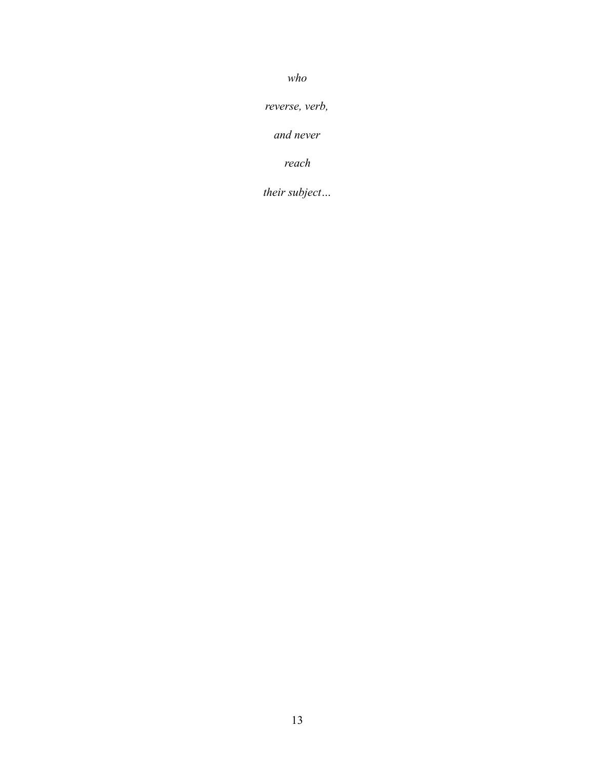*who* 

*reverse, verb,*

*and never* 

*reach*

*their subject…*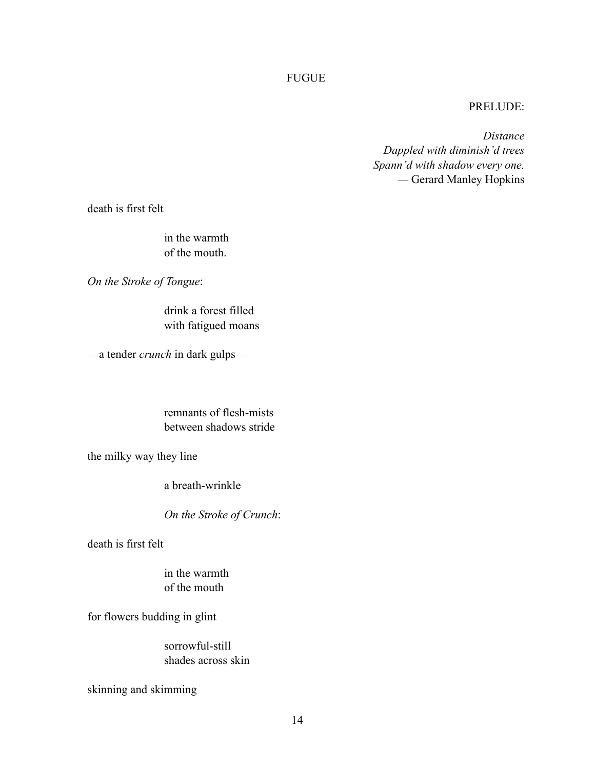## FUGUE

## PRELUDE:

*Distance Dappled with diminish'd trees Spann'd with shadow every one. —* Gerard Manley Hopkins

death is first felt

in the warmth of the mouth.

*On the Stroke of Tongue*:

drink a forest filled with fatigued moans

—a tender *crunch* in dark gulps—

remnants of flesh-mists between shadows stride

the milky way they line

a breath-wrinkle

*On the Stroke of Crunch*:

death is first felt

in the warmth of the mouth

for flowers budding in glint

sorrowful-still shades across skin

skinning and skimming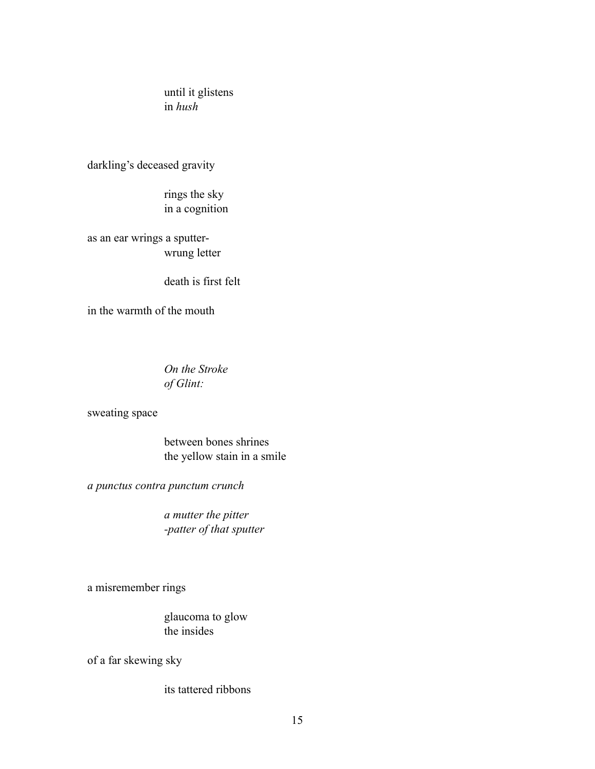until it glistens in *hush*

darkling's deceased gravity

rings the sky in a cognition

as an ear wrings a sputterwrung letter

death is first felt

in the warmth of the mouth

*On the Stroke of Glint:*

sweating space

between bones shrines the yellow stain in a smile

*a punctus contra punctum crunch*

*a mutter the pitter -patter of that sputter*

a misremember rings

glaucoma to glow the insides

of a far skewing sky

its tattered ribbons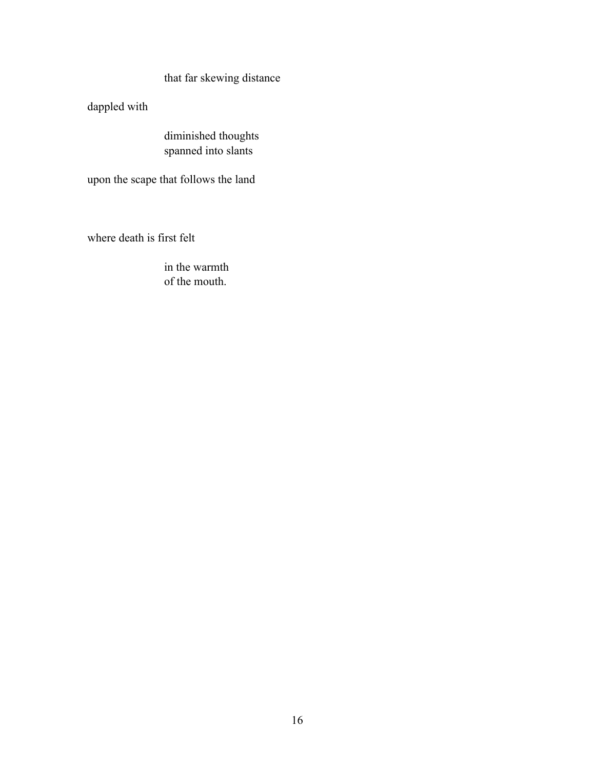that far skewing distance

dappled with

diminished thoughts spanned into slants

upon the scape that follows the land

where death is first felt

in the warmth of the mouth.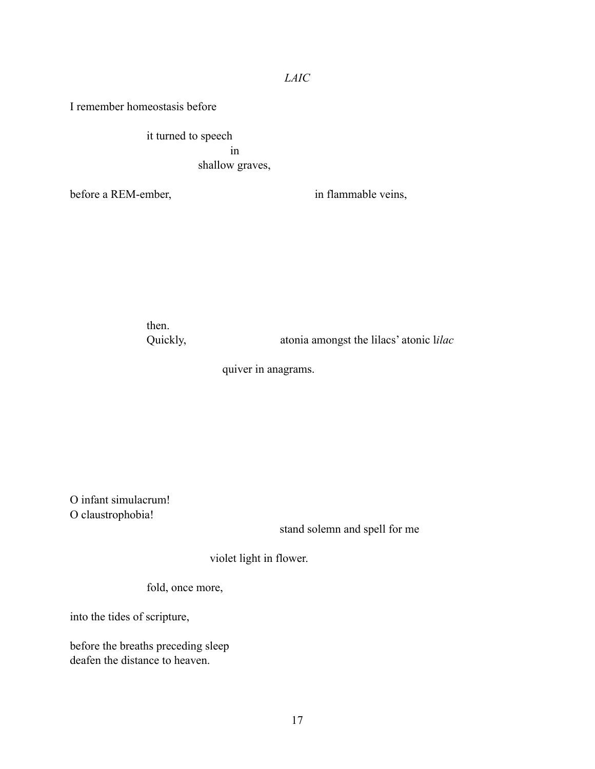I remember homeostasis before

it turned to speech in shallow graves,

before a REM-ember, in flammable veins,

then.

Quickly, atonia amongst the lilacs' atonic l*ilac*

quiver in anagrams.

O infant simulacrum! O claustrophobia!

stand solemn and spell for me

violet light in flower.

fold, once more,

into the tides of scripture,

before the breaths preceding sleep deafen the distance to heaven.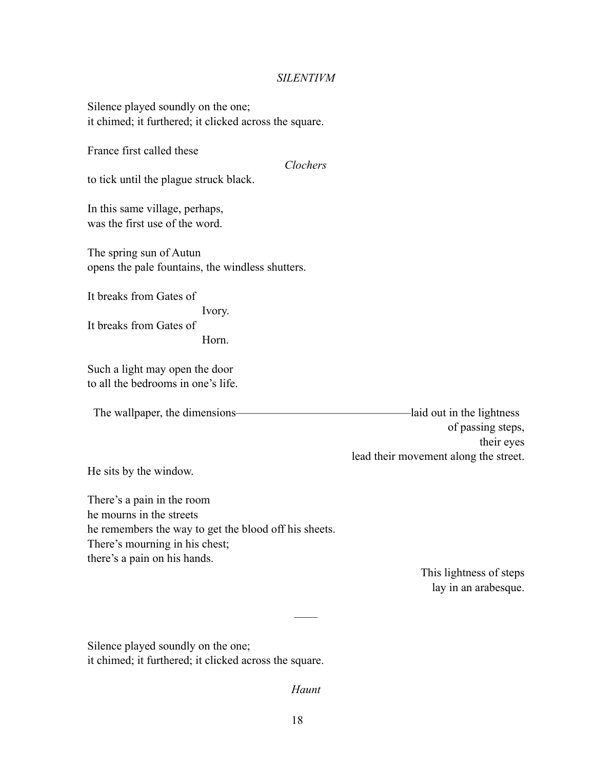#### *SILENTIVM*

Silence played soundly on the one; it chimed; it furthered; it clicked across the square.

France first called these

*Clochers* 

to tick until the plague struck black.

In this same village, perhaps, was the first use of the word.

The spring sun of Autun opens the pale fountains, the windless shutters.

It breaks from Gates of Ivory. It breaks from Gates of Horn.

Such a light may open the door to all the bedrooms in one's life.

The wallpaper, the dimensions————————————————————laid out in the lightness of passing steps, their eyes lead their movement along the street.

He sits by the window.

There's a pain in the room he mourns in the streets he remembers the way to get the blood off his sheets. There's mourning in his chest; there's a pain on his hands.

> This lightness of steps lay in an arabesque.

Silence played soundly on the one; it chimed; it furthered; it clicked across the square.

*Haunt*

——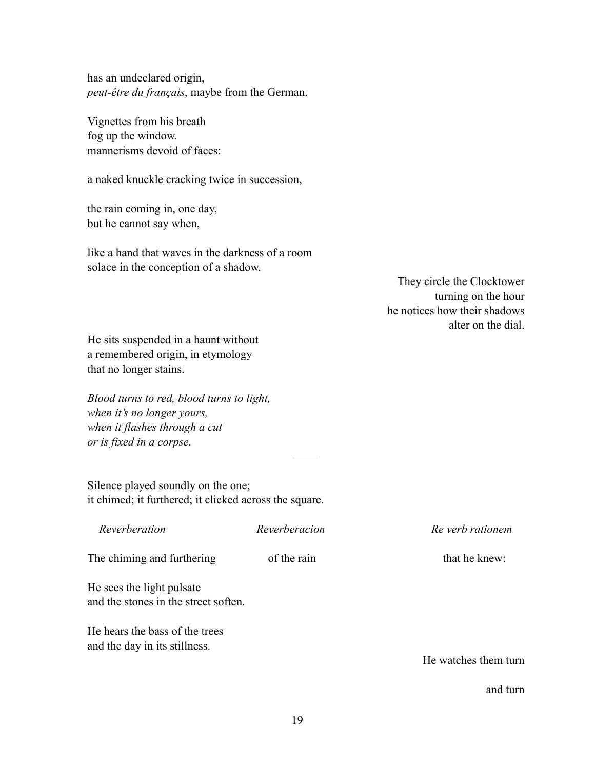has an undeclared origin, *peut-être du français*, maybe from the German.

Vignettes from his breath fog up the window. mannerisms devoid of faces:

a naked knuckle cracking twice in succession,

the rain coming in, one day, but he cannot say when,

like a hand that waves in the darkness of a room solace in the conception of a shadow.

> They circle the Clocktower turning on the hour he notices how their shadows alter on the dial.

He sits suspended in a haunt without a remembered origin, in etymology that no longer stains.

*Blood turns to red, blood turns to light, when it's no longer yours, when it flashes through a cut or is fixed in a corpse.*

Silence played soundly on the one; it chimed; it furthered; it clicked across the square.

| Reverberation                                                     | Reverberacion |
|-------------------------------------------------------------------|---------------|
| The chiming and furthering                                        | of the rain   |
| He sees the light pulsate<br>and the stones in the street soften. |               |
| He hears the bass of the trees<br>and the day in its stillness.   |               |

 $Re$  verb rationem

that he knew:

He watches them turn

and turn

——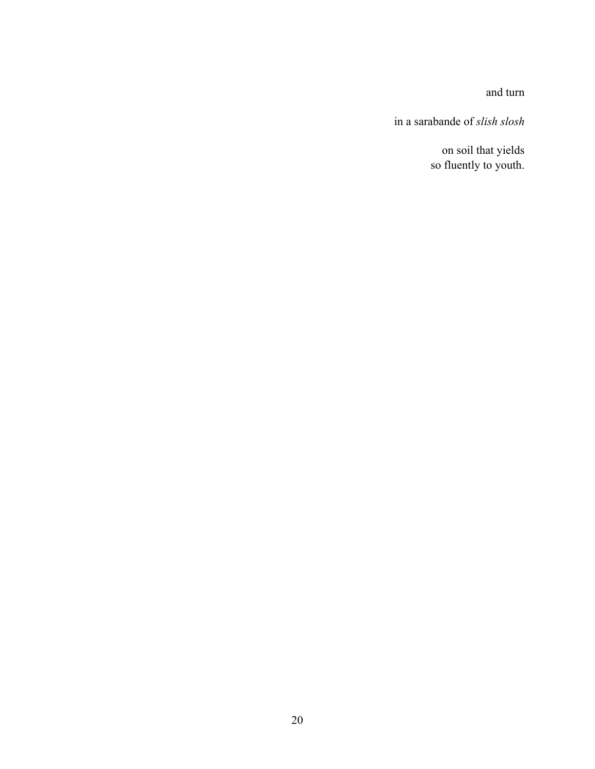and turn

in a sarabande of *slish slosh*

on soil that yields so fluently to youth.